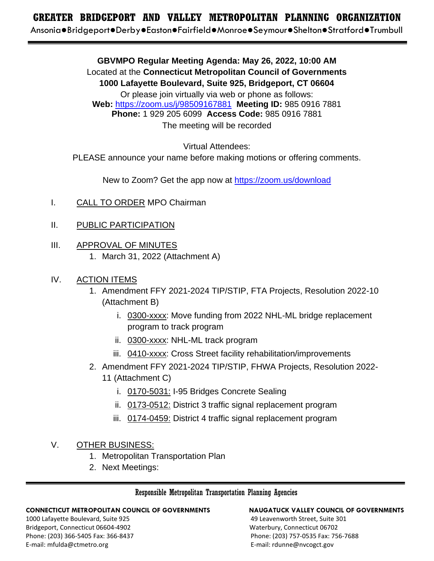# **GREATER BRIDGEPORT AND VALLEY METROPOLITAN PLANNING ORGANIZATION GREATER BRIDGEPORT AND VALLEY METROPOLITAN PLANNING ORGANIZATION**

Ansonia●Bridgeport●Derby●Easton●Fairfield●Monroe●Seymour●Shelton●Stratford●Trumbull Ansonia●Bridgeport●Derby●Easton●Fairfield●Monroe●Seymour●Shelton●Stratford●Trumbull

**GBVMPO Regular Meeting Agenda: May 26, 2022, 10:00 AM** Located at the **Connecticut Metropolitan Council of Governments 1000 Lafayette Boulevard, Suite 925, Bridgeport, CT 06604** Or please join virtually via web or phone as follows: **Web:** <https://zoom.us/j/98509167881> **Meeting ID:** 985 0916 7881 **Phone:** 1 929 205 6099 **Access Code:** 985 0916 7881 The meeting will be recorded

Virtual Attendees:

PLEASE announce your name before making motions or offering comments.

New to Zoom? Get the app now at <https://zoom.us/download>

- I. CALL TO ORDER MPO Chairman
- II. PUBLIC PARTICIPATION
- III. APPROVAL OF MINUTES 1. March 31, 2022 (Attachment A)
- IV. ACTION ITEMS
	- 1. Amendment FFY 2021-2024 TIP/STIP, FTA Projects, Resolution 2022-10 (Attachment B)
		- i. 0300-xxxx: Move funding from 2022 NHL-ML bridge replacement program to track program
		- ii. 0300-xxxx: NHL-ML track program
		- iii. 0410-xxxx: Cross Street facility rehabilitation/improvements
	- 2. Amendment FFY 2021-2024 TIP/STIP, FHWA Projects, Resolution 2022- 11 (Attachment C)
		- i. 0170-5031: I-95 Bridges Concrete Sealing
		- ii. 0173-0512: District 3 traffic signal replacement program
		- iii. 0174-0459: District 4 traffic signal replacement program

# V. OTHER BUSINESS:

- 1. Metropolitan Transportation Plan
- 2. Next Meetings:

### Responsible Metropolitan Transportation Planning Agencies

### **CONNECTICUT METROPOLITAN COUNCIL OF GOVERNMENTS NAUGATUCK VALLEY COUNCIL OF GOVERNMENTS**

1000 Lafayette Boulevard, Suite 925 49 Leavenworth Street, Suite 301 Bridgeport, Connecticut 06604-4902 Waterbury, Connecticut 06702 Phone: (203) 366-5405 Fax: 366-8437 Phone: (203) 757-0535 Fax: 756-7688 E-mail: mfulda@ctmetro.org example and the set of the set of the set of the E-mail: rdunne@nvcogct.gov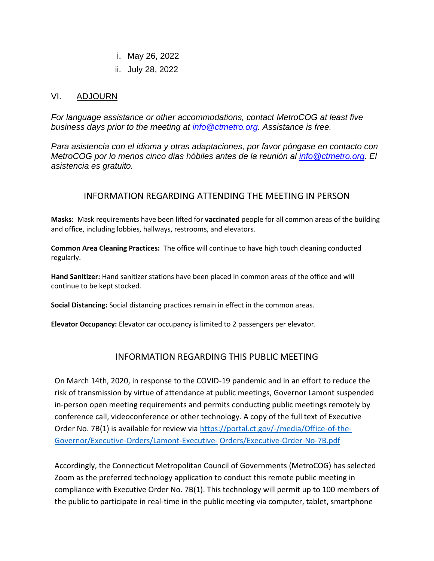i. May 26, 2022

ii. July 28, 2022

### VI. ADJOURN

*For language assistance or other accommodations, contact MetroCOG at least five business days prior to the meeting at [info@ctmetro.org.](mailto:info@ctmetro.org) Assistance is free.* 

*Para asistencia con el idioma y otras adaptaciones, por favor póngase en contacto con MetroCOG por lo menos cinco dias hóbiles antes de la reunión al [info@ctmetro.org.](mailto:info@ctmetro.org) El asistencia es gratuito.* 

# INFORMATION REGARDING ATTENDING THE MEETING IN PERSON

**Masks:** Mask requirements have been lifted for **vaccinated** people for all common areas of the building and office, including lobbies, hallways, restrooms, and elevators.

**Common Area Cleaning Practices:** The office will continue to have high touch cleaning conducted regularly.

**Hand Sanitizer:** Hand sanitizer stations have been placed in common areas of the office and will continue to be kept stocked.

**Social Distancing:** Social distancing practices remain in effect in the common areas.

**Elevator Occupancy:** Elevator car occupancy is limited to 2 passengers per elevator.

# INFORMATION REGARDING THIS PUBLIC MEETING

On March 14th, 2020, in response to the COVID-19 pandemic and in an effort to reduce the risk of transmission by virtue of attendance at public meetings, Governor Lamont suspended in-person open meeting requirements and permits conducting public meetings remotely by conference call, videoconference or other technology. A copy of the full text of Executive Order No. 7B(1) is available for review via [https://portal.ct.gov/-/media/Office-of-the-](https://portal.ct.gov/-/media/Office-of-the-Governor/Executive-Orders/Lamont-Executive-Orders/Executive-Order-No-7B.pdf)[Governor/Executive-Orders/Lamont-Executive-](https://portal.ct.gov/-/media/Office-of-the-Governor/Executive-Orders/Lamont-Executive-Orders/Executive-Order-No-7B.pdf) [Orders/Executive-Order-No-7B.pdf](https://portal.ct.gov/-/media/Office-of-the-Governor/Executive-Orders/Lamont-Executive-Orders/Executive-Order-No-7B.pdf)

Accordingly, the Connecticut Metropolitan Council of Governments (MetroCOG) has selected Zoom as the preferred technology application to conduct this remote public meeting in compliance with Executive Order No. 7B(1). This technology will permit up to 100 members of the public to participate in real-time in the public meeting via computer, tablet, smartphone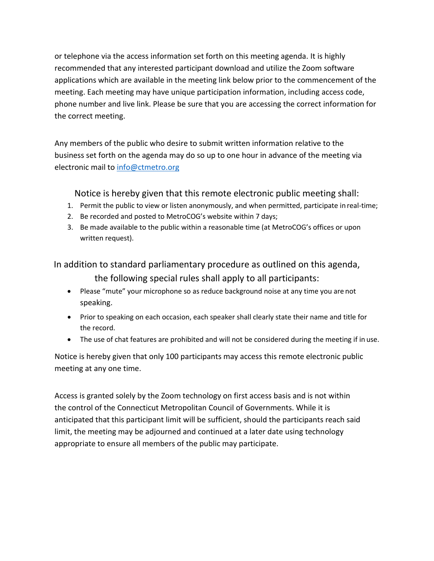or telephone via the access information set forth on this meeting agenda. It is highly recommended that any interested participant download and utilize the Zoom software applications which are available in the meeting link below prior to the commencement of the meeting. Each meeting may have unique participation information, including access code, phone number and live link. Please be sure that you are accessing the correct information for the correct meeting.

Any members of the public who desire to submit written information relative to the business set forth on the agenda may do so up to one hour in advance of the meeting via electronic mail to [info@ctmetro.org](mailto:info@ctmetro.org)

Notice is hereby given that this remote electronic public meeting shall:

- 1. Permit the public to view or listen anonymously, and when permitted, participate in real-time;
- 2. Be recorded and posted to MetroCOG's website within 7 days;
- 3. Be made available to the public within a reasonable time (at MetroCOG's offices or upon written request).

In addition to standard parliamentary procedure as outlined on this agenda,

the following special rules shall apply to all participants:

- Please "mute" your microphone so as reduce background noise at any time you are not speaking.
- Prior to speaking on each occasion, each speaker shall clearly state their name and title for the record.
- The use of chat features are prohibited and will not be considered during the meeting if in use.

Notice is hereby given that only 100 participants may access this remote electronic public meeting at any one time.

Access is granted solely by the Zoom technology on first access basis and is not within the control of the Connecticut Metropolitan Council of Governments. While it is anticipated that this participant limit will be sufficient, should the participants reach said limit, the meeting may be adjourned and continued at a later date using technology appropriate to ensure all members of the public may participate.